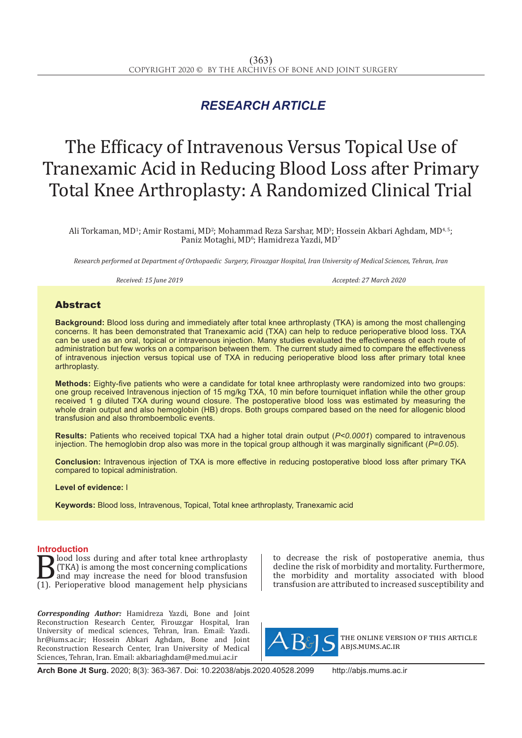## *RESEARCH ARTICLE*

# The Efficacy of Intravenous Versus Topical Use of Tranexamic Acid in Reducing Blood Loss after Primary Total Knee Arthroplasty: A Randomized Clinical Trial

Ali Torkaman, MD<sup>1</sup>; Amir Rostami, MD<sup>2</sup>; Mohammad Reza Sarshar, MD<sup>3</sup>; Hossein Akbari Aghdam, MD<sup>4, 5</sup>; Paniz Motaghi, MD<sup>6</sup>; Hamidreza Yazdi, MD<sup>7</sup>

*Research performed at Department of Orthopaedic Surgery, Firouzgar Hospital, Iran University of Medical Sciences, Tehran, Iran*

*Received: 15 June 2019 Accepted: 27 March 2020*

### Abstract

**Background:** Blood loss during and immediately after total knee arthroplasty (TKA) is among the most challenging concerns. It has been demonstrated that Tranexamic acid (TXA) can help to reduce perioperative blood loss. TXA can be used as an oral, topical or intravenous injection. Many studies evaluated the effectiveness of each route of administration but few works on a comparison between them. The current study aimed to compare the effectiveness of intravenous injection versus topical use of TXA in reducing perioperative blood loss after primary total knee arthroplasty.

**Methods:** Eighty-five patients who were a candidate for total knee arthroplasty were randomized into two groups: one group received Intravenous injection of 15 mg/kg TXA, 10 min before tourniquet inflation while the other group received 1 g diluted TXA during wound closure. The postoperative blood loss was estimated by measuring the whole drain output and also hemoglobin (HB) drops. Both groups compared based on the need for allogenic blood transfusion and also thromboembolic events.

**Results:** Patients who received topical TXA had a higher total drain output (*P<0.0001*) compared to intravenous injection. The hemoglobin drop also was more in the topical group although it was marginally significant (*P=0.05*).

**Conclusion:** Intravenous injection of TXA is more effective in reducing postoperative blood loss after primary TKA compared to topical administration.

**Level of evidence:** I

**Keywords:** Blood loss, Intravenous, Topical, Total knee arthroplasty, Tranexamic acid

**Introduction**<br>**ID** lood loss during and after total knee arthroplasty **B**lood loss during and after total knee arthroplasty<br>(TKA) is among the most concerning complications<br>(1). Perioperative blood management help physicians (TKA) is among the most concerning complications and may increase the need for blood transfusion (1). Perioperative blood management help physicians

*Corresponding Author:* Hamidreza Yazdi, Bone and Joint Reconstruction Research Center, Firouzgar Hospital, Iran University of medical sciences, Tehran, Iran. Email: Yazdi. hr@iums.ac.ir; Hossein Abkari Aghdam, Bone and Joint Reconstruction Research Center, Iran University of Medical Sciences, Tehran, Iran. Email: akbariaghdam@med.mui.ac.ir

to decrease the risk of postoperative anemia, thus decline the risk of morbidity and mortality. Furthermore, the morbidity and mortality associated with blood transfusion are attributed to increased susceptibility and



the online version of this article abjs.mums.ac.ir

**Arch Bone Jt Surg.** 2020; 8(3): 363-367. Doi: 10.22038/abjs.2020.40528.2099 http://abjs.mums.ac.ir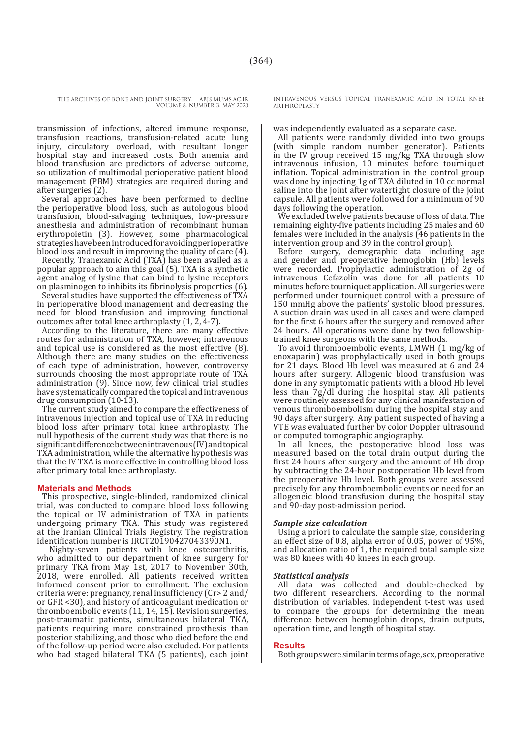THE ARCHIVES OF BONE AND JOINT SURGERY. ABJS.MUMS.AC.IR VOLUME 8. NUMBER 3. MAY 2020

> transmission of infections, altered immune response, transfusion reactions, transfusion-related acute lung injury, circulatory overload, with resultant longer hospital stay and increased costs. Both anemia and blood transfusion are predictors of adverse outcome, so utilization of multimodal perioperative patient blood management (PBM) strategies are required during and after surgeries (2).

> Several approaches have been performed to decline the perioperative blood loss, such as autologous blood transfusion, blood-salvaging techniques, low-pressure anesthesia and administration of recombinant human erythropoietin (3). However, some pharmacological strategies have been introduced for avoiding perioperative blood loss and result in improving the quality of care (4).

> Recently, Tranexamic Acid (TXA) has been availed as a popular approach to aim this goal (5). TXA is a synthetic agent analog of lysine that can bind to lysine receptors on plasminogen to inhibits its fibrinolysis properties (6).

> Several studies have supported the effectiveness of TXA in perioperative blood management and decreasing the need for blood transfusion and improving functional outcomes after total knee arthroplasty (1, 2, 4-7).

> According to the literature, there are many effective routes for administration of TXA, however, intravenous and topical use is considered as the most effective (8). Although there are many studies on the effectiveness of each type of administration, however, controversy surrounds choosing the most appropriate route of TXA administration (9). Since now, few clinical trial studies have systematically compared the topical and intravenous drug consumption (10-13).

> The current study aimed to compare the effectiveness of intravenous injection and topical use of TXA in reducing blood loss after primary total knee arthroplasty. The null hypothesis of the current study was that there is no significant difference between intravenous (IV) and topical TXA administration, while the alternative hypothesis was that the IV TXA is more effective in controlling blood loss after primary total knee arthroplasty.

#### **Materials and Methods**

This prospective, single-blinded, randomized clinical trial, was conducted to compare blood loss following the topical or IV administration of TXA in patients undergoing primary TKA. This study was registered at the Iranian Clinical Trials Registry. The registration identification number is IRCT20190427043390N1.

 Nighty-seven patients with knee osteoarthritis, who admitted to our department of knee surgery for primary TKA from May 1st, 2017 to November 30th, 2018, were enrolled. All patients received written informed consent prior to enrollment. The exclusion criteria were: pregnancy, renal insufficiency (Cr> 2 and/ or GFR <30), and history of anticoagulant medication or thromboembolic events (11, 14, 15). Revision surgeries, post-traumatic patients, simultaneous bilateral TKA, patients requiring more constrained prosthesis than posterior stabilizing, and those who died before the end of the follow-up period were also excluded. For patients who had staged bilateral TKA (5 patients), each joint INTRAVENOUS VERSUS TOPICAL TRANEXAMIC ACID IN TOTAL KNEE ARTHROPLASTY

was independently evaluated as a separate case.

All patients were randomly divided into two groups (with simple random number generator). Patients in the IV group received 15 mg/kg TXA through slow intravenous infusion, 10 minutes before tourniquet inflation. Topical administration in the control group was done by injecting 1g of TXA diluted in 10 cc normal saline into the joint after watertight closure of the joint capsule. All patients were followed for a minimum of 90 days following the operation.

We excluded twelve patients because of loss of data. The remaining eighty-five patients including 25 males and 60 females were included in the analysis (46 patients in the intervention group and 39 in the control group).

Before surgery, demographic data including age and gender and preoperative hemoglobin (Hb) levels were recorded. Prophylactic administration of 2g of intravenous Cefazolin was done for all patients 10 minutes before tourniquet application. All surgeries were performed under tourniquet control with a pressure of 150 mmHg above the patients' systolic blood pressures. A suction drain was used in all cases and were clamped for the first 6 hours after the surgery and removed after 24 hours. All operations were done by two fellowshiptrained knee surgeons with the same methods.

To avoid thromboembolic events, LMWH (1 mg/kg of enoxaparin) was prophylactically used in both groups for 21 days. Blood Hb level was measured at 6 and 24 hours after surgery. Allogenic blood transfusion was done in any symptomatic patients with a blood Hb level less than 7g/dl during the hospital stay. All patients were routinely assessed for any clinical manifestation of venous thromboembolism during the hospital stay and 90 days after surgery. Any patient suspected of having a VTE was evaluated further by color Doppler ultrasound or computed tomographic angiography.

In all knees, the postoperative blood loss was measured based on the total drain output during the first 24 hours after surgery and the amount of Hb drop by subtracting the 24-hour postoperation Hb level from the preoperative Hb level. Both groups were assessed precisely for any thromboembolic events or need for an allogeneic blood transfusion during the hospital stay and 90-day post-admission period.

#### *Sample size calculation*

Using a priori to calculate the sample size, considering an effect size of 0.8, alpha error of 0.05, power of 95%, and allocation ratio of 1, the required total sample size was 80 knees with 40 knees in each group.

#### *Statistical analysis*

All data was collected and double-checked by two different researchers. According to the normal distribution of variables, independent t-test was used to compare the groups for determining the mean difference between hemoglobin drops, drain outputs, operation time, and length of hospital stay.

#### **Results**

Both groups were similar in terms of age, sex, preoperative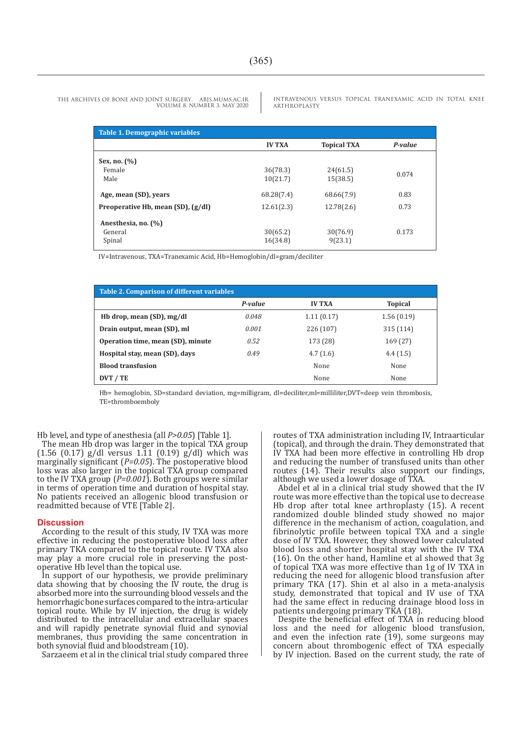ARTHROPLASTY

**Table 1. Demographic variables IV TXA Topical TXA** *P-value* **Sex, no. (%)**  Female Male 36(78.3) 10(21.7) 24(61.5)  $24(01.5)$  0.074<br>15(38.5) **Age, mean (SD), years** 68.28(7.4) 68.66(7.9) 0.83 **Preoperative Hb, mean (SD), (g/dl)** 12.61(2.3) 12.78(2.6) 0.73

THE ARCHIVES OF BONE AND JOINT SURGERY. ABJS.MUMS.AC.IR VOLUME 8. NUMBER 3. MAY 2020

IV=Intravenous, TXA=Tranexamic Acid, Hb=Hemoglobin/dl=gram/deciliter

| <b>Table 2. Comparison of different variables</b> |         |               |                |
|---------------------------------------------------|---------|---------------|----------------|
|                                                   | P-value | <b>IV TXA</b> | <b>Topical</b> |
| Hb drop, mean (SD), mg/dl                         | 0.048   | 1.11(0.17)    | 1.56(0.19)     |
| Drain output, mean (SD), ml                       | 0.001   | 226 (107)     | 315 (114)      |
| Operation time, mean (SD), minute                 | 0.52    | 173 (28)      | 169 (27)       |
| Hospital stay, mean (SD), days                    | 0.49    | 4.7(1.6)      | 4.4(1.5)       |
| <b>Blood transfusion</b>                          |         | None          | None           |
| DVT / TE                                          |         | None          | None           |

30(65.2) 16(34.8)

30(76.9) 9(23.1)

Hb= hemoglobin, SD=standard deviation, mg=milligram, dl=deciliter,ml=milliliter,DVT=deep vein thrombosis, TE=thromboemboly

Hb level, and type of anesthesia (all *P>0.05*) [Table 1].

 **Anesthesia, no. (%)** 

 General Spinal

The mean Hb drop was larger in the topical TXA group (1.56 (0.17) g/dl versus 1.11 (0.19) g/dl) which was marginally significant (*P=0.05*). The postoperative blood loss was also larger in the topical TXA group compared to the IV TXA group (*P=0.001*). Both groups were similar in terms of operation time and duration of hospital stay. No patients received an allogenic blood transfusion or readmitted because of VTE [Table 2].

#### **Discussion**

According to the result of this study, IV TXA was more effective in reducing the postoperative blood loss after primary TKA compared to the topical route. IV TXA also may play a more crucial role in preserving the postoperative Hb level than the topical use.

In support of our hypothesis, we provide preliminary data showing that by choosing the IV route, the drug is absorbed more into the surrounding blood vessels and the hemorrhagic bone surfaces compared to the intra-articular topical route. While by IV injection, the drug is widely distributed to the intracellular and extracellular spaces and will rapidly penetrate synovial fluid and synovial membranes, thus providing the same concentration in both synovial fluid and bloodstream (10).

Sarzaeem et al in the clinical trial study compared three

routes of TXA administration including IV, Intraarticular (topical), and through the drain. They demonstrated that IV TXA had been more effective in controlling Hb drop and reducing the number of transfused units than other routes (14). Their results also support our findings, although we used a lower dosage of TXA.

INTRAVENOUS VERSUS TOPICAL TRANEXAMIC ACID IN TOTAL KNEE

0.173

Abdel et al in a clinical trial study showed that the IV route was more effective than the topical use to decrease Hb drop after total knee arthroplasty (15). A recent randomized double blinded study showed no major difference in the mechanism of action, coagulation, and fibrinolytic profile between topical TXA and a single dose of IV TXA. However, they showed lower calculated blood loss and shorter hospital stay with the IV TXA (16). On the other hand, Hamline et al showed that 3g of topical TXA was more effective than 1g of IV TXA in reducing the need for allogenic blood transfusion after primary TKA (17). Shin et al also in a meta-analysis study, demonstrated that topical and IV use of TXA had the same effect in reducing drainage blood loss in patients undergoing primary TKA (18).

Despite the beneficial effect of TXA in reducing blood loss and the need for allogenic blood transfusion, and even the infection rate  $(19)$ , some surgeons may concern about thrombogenic effect of TXA especially by IV injection. Based on the current study, the rate of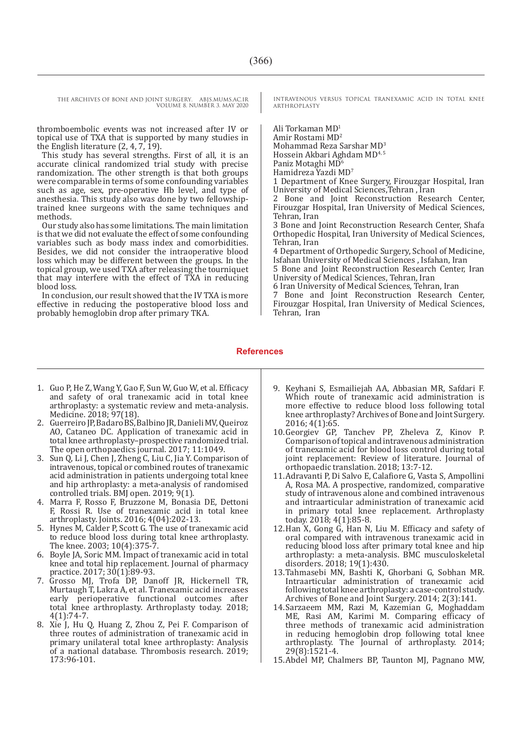THE ARCHIVES OF BONE AND JOINT SURGERY. ABJS.MUMS.AC.IR VOLUME 8. NUMBER 3. MAY 2020

thromboembolic events was not increased after IV or topical use of TXA that is supported by many studies in the English literature  $(2, 4, 7, 19)$ .

This study has several strengths. First of all, it is an accurate clinical randomized trial study with precise randomization. The other strength is that both groups were comparable in terms of some confounding variables such as age, sex, pre-operative Hb level, and type of anesthesia. This study also was done by two fellowshiptrained knee surgeons with the same techniques and methods.

Our study also has some limitations. The main limitation is that we did not evaluate the effect of some confounding variables such as body mass index and comorbidities. Besides, we did not consider the intraoperative blood loss which may be different between the groups. In the topical group, we used TXA after releasing the tourniquet that may interfere with the effect of TXA in reducing blood loss.

In conclusion, our result showed that the IV TXA is more effective in reducing the postoperative blood loss and probably hemoglobin drop after primary TKA.

INTRAVENOUS VERSUS TOPICAL TRANEXAMIC ACID IN TOTAL KNEE ARTHROPLASTY

Ali Torkaman MD<sup>1</sup> Amir Rostami MD<sup>2</sup> Mohammad Reza Sarshar MD3 Hossein Akbari Aghdam MD4, 5 Paniz Motaghi MD<sup>6</sup>

Hamidreza Yazdi MD7

1 Department of Knee Surgery, Firouzgar Hospital, Iran University of Medical Sciences,Tehran , Iran

2 Bone and Joint Reconstruction Research Center, Firouzgar Hospital, Iran University of Medical Sciences, Tehran, Iran

3 Bone and Joint Reconstruction Research Center, Shafa Orthopedic Hospital, Iran University of Medical Sciences, Tehran, Iran

4 Department of Orthopedic Surgery, School of Medicine, Isfahan University of Medical Sciences , Isfahan, Iran

5 Bone and Joint Reconstruction Research Center, Iran University of Medical Sciences, Tehran, Iran

6 Iran University of Medical Sciences, Tehran, Iran

7 Bone and Joint Reconstruction Research Center, Firouzgar Hospital, Iran University of Medical Sciences, Tehran, Iran

#### **References**

- 1. Guo P, He Z, Wang Y, Gao F, Sun W, Guo W, et al. Efficacy and safety of oral tranexamic acid in total knee arthroplasty: a systematic review and meta-analysis. Medicine. 2018; 97(18).
- 2. Guerreiro JP, Badaro BS, Balbino JR, Danieli MV, Queiroz AO, Cataneo DC. Application of tranexamic acid in total knee arthroplasty–prospective randomized trial. The open orthopaedics journal. 2017; 11:1049.
- 3. Sun Q, Li J, Chen J, Zheng C, Liu C, Jia Y. Comparison of intravenous, topical or combined routes of tranexamic acid administration in patients undergoing total knee and hip arthroplasty: a meta-analysis of randomised controlled trials. BMJ open. 2019; 9(1).
- 4. Marra F, Rosso F, Bruzzone M, Bonasia DE, Dettoni F, Rossi R. Use of tranexamic acid in total knee arthroplasty. Joints. 2016; 4(04):202-13.
- 5. Hynes M, Calder P, Scott G. The use of tranexamic acid to reduce blood loss during total knee arthroplasty. The knee. 2003; 10(4):375-7.
- 6. Boyle JA, Soric MM. Impact of tranexamic acid in total knee and total hip replacement. Journal of pharmacy practice. 2017; 30(1):89-93.
- 7. Grosso MJ, Trofa DP, Danoff JR, Hickernell TR, Murtaugh T, Lakra A, et al. Tranexamic acid increases early perioperative functional outcomes after total knee arthroplasty. Arthroplasty today. 2018; 4(1):74-7.
- 8. Xie J, Hu Q, Huang Z, Zhou Z, Pei F. Comparison of three routes of administration of tranexamic acid in primary unilateral total knee arthroplasty: Analysis of a national database. Thrombosis research. 2019; 173:96-101.
- 9. Keyhani S, Esmailiejah AA, Abbasian MR, Safdari F. Which route of tranexamic acid administration is more effective to reduce blood loss following total knee arthroplasty? Archives of Bone and Joint Surgery. 2016; 4(1):65.
- 10.Georgiev GP, Tanchev PP, Zheleva Z, Kinov P. Comparison of topical and intravenous administration of tranexamic acid for blood loss control during total joint replacement: Review of literature. Journal of orthopaedic translation. 2018; 13:7-12.
- 11.Adravanti P, Di Salvo E, Calafiore G, Vasta S, Ampollini A, Rosa MA. A prospective, randomized, comparative study of intravenous alone and combined intravenous and intraarticular administration of tranexamic acid in primary total knee replacement. Arthroplasty today. 2018; 4(1):85-8.
- 12.Han X, Gong G, Han N, Liu M. Efficacy and safety of oral compared with intravenous tranexamic acid in reducing blood loss after primary total knee and hip arthroplasty: a meta-analysis. BMC musculoskeletal disorders. 2018; 19(1):430.
- 13.Tahmasebi MN, Bashti K, Ghorbani G, Sobhan MR. Intraarticular administration of tranexamic acid following total knee arthroplasty: a case-control study. Archives of Bone and Joint Surgery. 2014; 2(3):141.
- 14.Sarzaeem MM, Razi M, Kazemian G, Moghaddam ME, Rasi AM, Karimi M. Comparing efficacy of three methods of tranexamic acid administration in reducing hemoglobin drop following total knee arthroplasty. The Journal of arthroplasty. 2014; 29(8):1521-4.
- 15.Abdel MP, Chalmers BP, Taunton MJ, Pagnano MW,